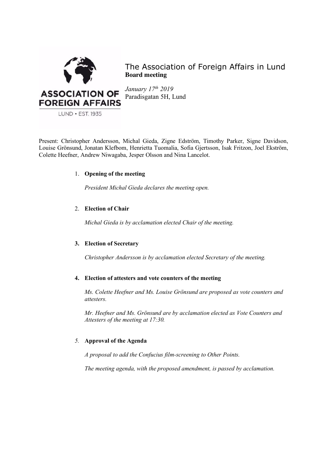

The Association of Foreign Affairs in Lund **Board meeting**

*January 17th 2019* Paradisgatan 5H, Lund

Present: Christopher Andersson, Michal Gieda, Zigne Edström, Timothy Parker, Signe Davidson, Louise Grönsund, Jonatan Klefbom, Henrietta Tuomalia, Sofia Gjertsson, Isak Fritzon, Joel Ekström, Colette Heefner, Andrew Niwagaba, Jesper Olsson and Nina Lancelot.

# 1. **Opening of the meeting**

*President Michal Gieda declares the meeting open.*

# 2. **Election of Chair**

*Michal Gieda is by acclamation elected Chair of the meeting.*

## **3. Election of Secretary**

*Christopher Andersson is by acclamation elected Secretary of the meeting.*

## **4. Election of attesters and vote counters of the meeting**

*Ms. Colette Heefner and Ms. Louise Grönsund are proposed as vote counters and attesters.* 

*Mr. Heefner and Ms. Grönsund are by acclamation elected as Vote Counters and Attesters of the meeting at 17:30.*

## *5.* **Approval of the Agenda**

*A proposal to add the Confucius film-screening to Other Points.* 

*The meeting agenda, with the proposed amendment, is passed by acclamation.*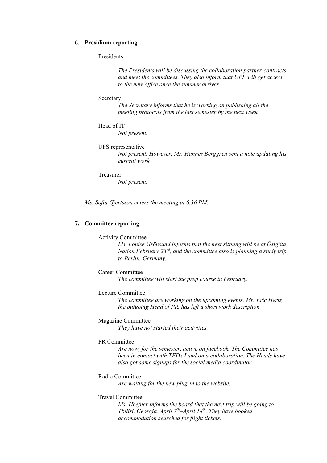## **6. Presidium reporting**

## Presidents

*The Presidents will be discussing the collaboration partner-contracts and meet the committees. They also inform that UPF will get access to the new office once the summer arrives.* 

#### **Secretary**

*The Secretary informs that he is working on publishing all the meeting protocols from the last semester by the next week.* 

### Head of IT

*Not present.* 

#### UFS representative

*Not present. However, Mr. Hannes Berggren sent a note updating his current work.* 

## Treasurer

*Not present.* 

*Ms. Sofia Gjertsson enters the meeting at 6.36 PM.* 

## **7. Committee reporting**

## Activity Committee

*Ms. Louise Grönsund informs that the next sittning will be at Östgöta Nation February 23rd, and the committee also is planning a study trip to Berlin, Germany.* 

### Career Committee

*The committee will start the prep course in February.* 

#### Lecture Committee

*The committee are working on the upcoming events. Mr. Eric Hertz, the outgoing Head of PR, has left a short work description.*

## Magazine Committee

*They have not started their activities.*

#### PR Committee

*Are now, for the semester, active on facebook. The Committee has been in contact with TEDx Lund on a collaboration. The Heads have also got some signups for the social media coordinator.*

## Radio Committee

*Are waiting for the new plug-in to the website.* 

# Travel Committee

*Ms. Heefner informs the board that the next trip will be going to Tbilisi, Georgia, April 7th–April 14th. They have booked accommodation searched for flight tickets.*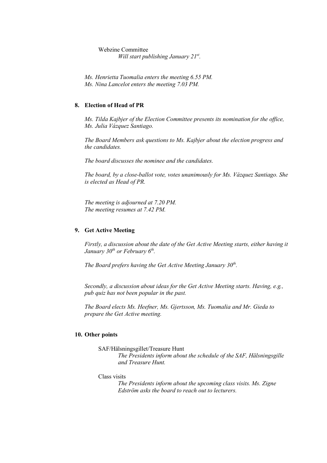Webzine Committee *Will start publishing January 21st.* 

*Ms. Henrietta Tuomalia enters the meeting 6.55 PM. Ms. Nina Lancelot enters the meeting 7.03 PM.*

## **8. Election of Head of PR**

*Ms. Tilda Kajbjer of the Election Committee presents its nomination for the office, Ms. Julia Vázquez Santiago.* 

*The Board Members ask questions to Ms. Kajbjer about the election progress and the candidates.*

*The board discusses the nominee and the candidates.* 

*The board, by a close-ballot vote, votes unanimously for Ms. Vázquez Santiago. She is elected as Head of PR.* 

*The meeting is adjourned at 7.20 PM. The meeting resumes at 7.42 PM.* 

### **9. Get Active Meeting**

*Firstly, a discussion about the date of the Get Active Meeting starts, either having it January* 30<sup>th</sup> or February 6<sup>th</sup>.

*The Board prefers having the Get Active Meeting January 30<sup>th</sup>.* 

*Secondly, a discussion about ideas for the Get Active Meeting starts. Having, e.g., pub quiz has not been popular in the past.* 

*The Board elects Ms. Heefner, Ms. Gjertsson, Ms. Tuomalia and Mr. Gieda to prepare the Get Active meeting.* 

### **10. Other points**

SAF/Hälsningsgillet/Treasure Hunt

*The Presidents inform about the schedule of the SAF, Hälsningsgille and Treasure Hunt.*

Class visits

*The Presidents inform about the upcoming class visits. Ms. Zigne Edström asks the board to reach out to lecturers.*